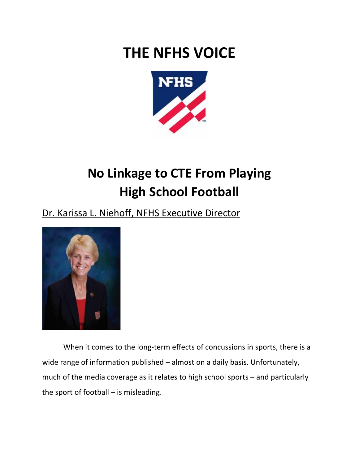## **THE NFHS VOICE**



## **No Linkage to CTE From Playing High School Football**

## Dr. Karissa L. Niehoff, NFHS Executive Director



When it comes to the long-term effects of concussions in sports, there is a wide range of information published – almost on a daily basis. Unfortunately, much of the media coverage as it relates to high school sports – and particularly the sport of football – is misleading.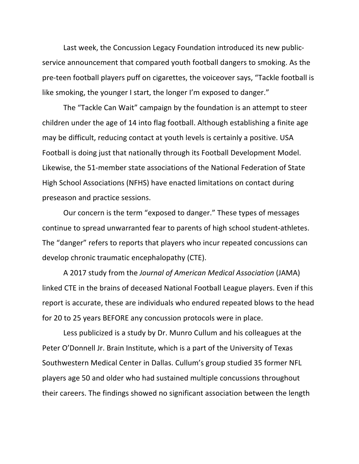Last week, the Concussion Legacy Foundation introduced its new publicservice announcement that compared youth football dangers to smoking. As the pre-teen football players puff on cigarettes, the voiceover says, "Tackle football is like smoking, the younger I start, the longer I'm exposed to danger."

The "Tackle Can Wait" campaign by the foundation is an attempt to steer children under the age of 14 into flag football. Although establishing a finite age may be difficult, reducing contact at youth levels is certainly a positive. USA Football is doing just that nationally through its Football Development Model. Likewise, the 51-member state associations of the National Federation of State High School Associations (NFHS) have enacted limitations on contact during preseason and practice sessions.

Our concern is the term "exposed to danger." These types of messages continue to spread unwarranted fear to parents of high school student-athletes. The "danger" refers to reports that players who incur repeated concussions can develop chronic traumatic encephalopathy (CTE).

A 2017 study from the *Journal of American Medical Association* (JAMA) linked CTE in the brains of deceased National Football League players. Even if this report is accurate, these are individuals who endured repeated blows to the head for 20 to 25 years BEFORE any concussion protocols were in place.

Less publicized is a study by Dr. Munro Cullum and his colleagues at the Peter O'Donnell Jr. Brain Institute, which is a part of the University of Texas Southwestern Medical Center in Dallas. Cullum's group studied 35 former NFL players age 50 and older who had sustained multiple concussions throughout their careers. The findings showed no significant association between the length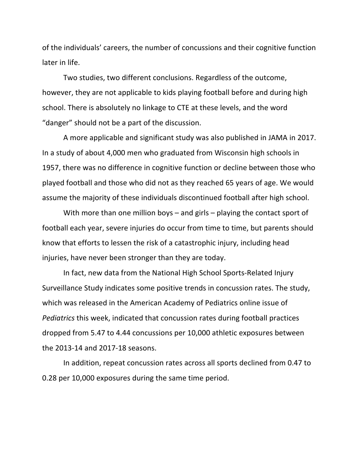of the individuals' careers, the number of concussions and their cognitive function later in life.

Two studies, two different conclusions. Regardless of the outcome, however, they are not applicable to kids playing football before and during high school. There is absolutely no linkage to CTE at these levels, and the word "danger" should not be a part of the discussion.

A more applicable and significant study was also published in JAMA in 2017. In a study of about 4,000 men who graduated from Wisconsin high schools in 1957, there was no difference in cognitive function or decline between those who played football and those who did not as they reached 65 years of age. We would assume the majority of these individuals discontinued football after high school.

With more than one million boys – and girls – playing the contact sport of football each year, severe injuries do occur from time to time, but parents should know that efforts to lessen the risk of a catastrophic injury, including head injuries, have never been stronger than they are today.

In fact, new data from the National High School Sports-Related Injury Surveillance Study indicates some positive trends in concussion rates. The study, which was released in the American Academy of Pediatrics online issue of *Pediatrics* this week, indicated that concussion rates during football practices dropped from 5.47 to 4.44 concussions per 10,000 athletic exposures between the 2013-14 and 2017-18 seasons.

In addition, repeat concussion rates across all sports declined from 0.47 to 0.28 per 10,000 exposures during the same time period.